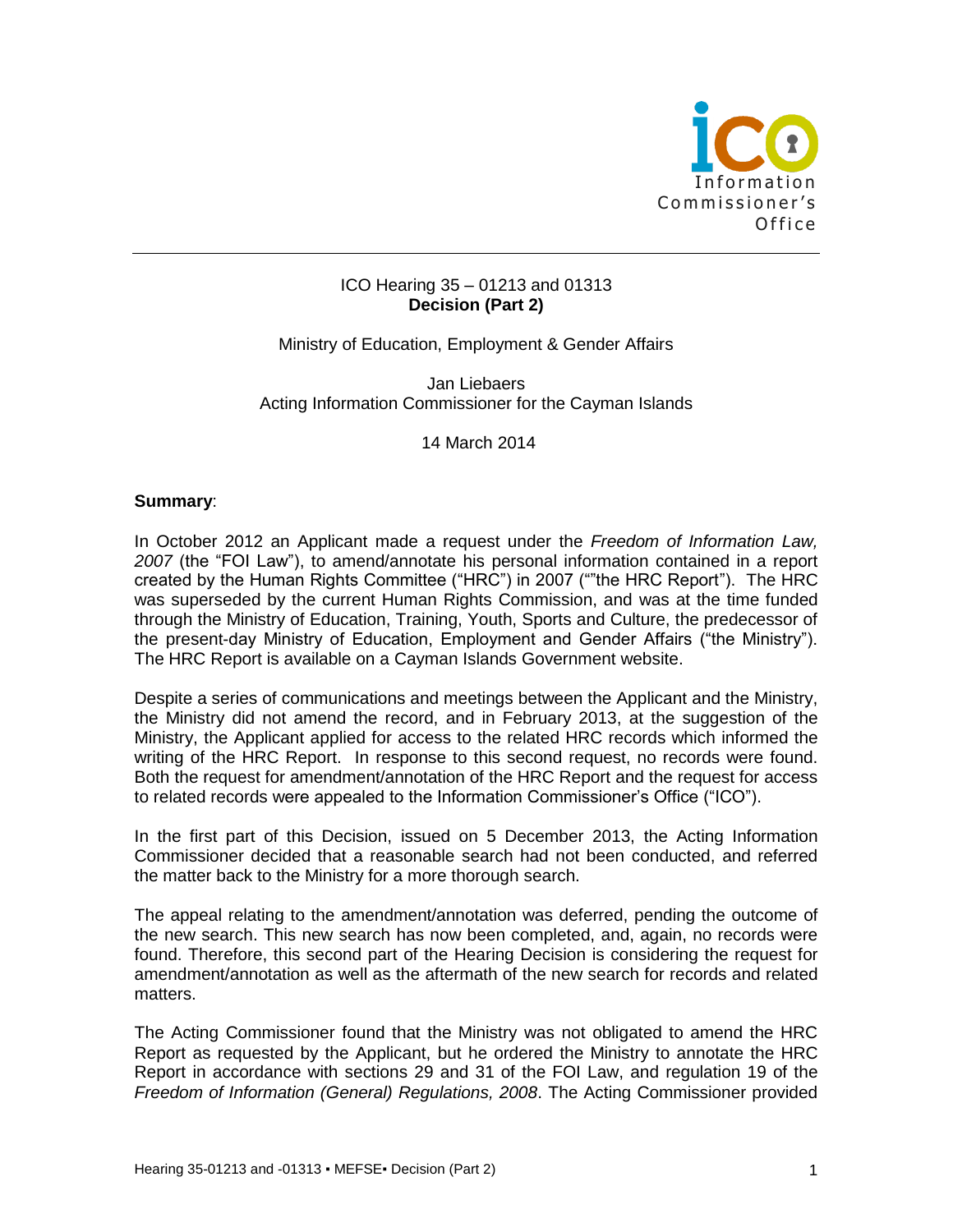

### ICO Hearing 35 – 01213 and 01313 **Decision (Part 2)**

Ministry of Education, Employment & Gender Affairs

Jan Liebaers Acting Information Commissioner for the Cayman Islands

14 March 2014

#### **Summary**:

In October 2012 an Applicant made a request under the *Freedom of Information Law, 2007* (the "FOI Law"), to amend/annotate his personal information contained in a report created by the Human Rights Committee ("HRC") in 2007 (""the HRC Report"). The HRC was superseded by the current Human Rights Commission, and was at the time funded through the Ministry of Education, Training, Youth, Sports and Culture, the predecessor of the present-day Ministry of Education, Employment and Gender Affairs ("the Ministry"). The HRC Report is available on a Cayman Islands Government website.

Despite a series of communications and meetings between the Applicant and the Ministry, the Ministry did not amend the record, and in February 2013, at the suggestion of the Ministry, the Applicant applied for access to the related HRC records which informed the writing of the HRC Report. In response to this second request, no records were found. Both the request for amendment/annotation of the HRC Report and the request for access to related records were appealed to the Information Commissioner's Office ("ICO").

In the first part of this Decision, issued on 5 December 2013, the Acting Information Commissioner decided that a reasonable search had not been conducted, and referred the matter back to the Ministry for a more thorough search.

The appeal relating to the amendment/annotation was deferred, pending the outcome of the new search. This new search has now been completed, and, again, no records were found. Therefore, this second part of the Hearing Decision is considering the request for amendment/annotation as well as the aftermath of the new search for records and related matters.

The Acting Commissioner found that the Ministry was not obligated to amend the HRC Report as requested by the Applicant, but he ordered the Ministry to annotate the HRC Report in accordance with sections 29 and 31 of the FOI Law, and regulation 19 of the *Freedom of Information (General) Regulations, 2008*. The Acting Commissioner provided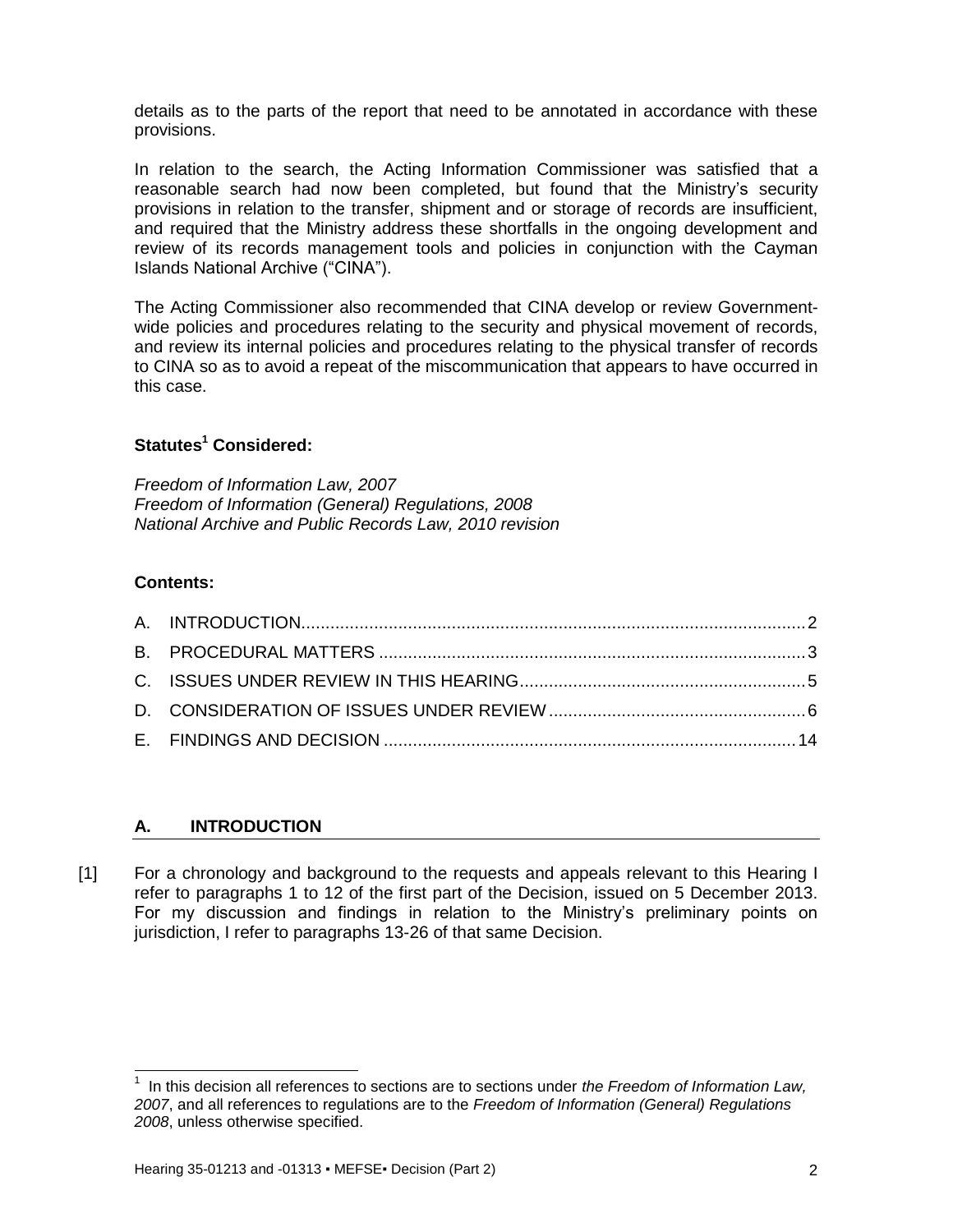details as to the parts of the report that need to be annotated in accordance with these provisions.

In relation to the search, the Acting Information Commissioner was satisfied that a reasonable search had now been completed, but found that the Ministry's security provisions in relation to the transfer, shipment and or storage of records are insufficient, and required that the Ministry address these shortfalls in the ongoing development and review of its records management tools and policies in conjunction with the Cayman Islands National Archive ("CINA").

The Acting Commissioner also recommended that CINA develop or review Governmentwide policies and procedures relating to the security and physical movement of records, and review its internal policies and procedures relating to the physical transfer of records to CINA so as to avoid a repeat of the miscommunication that appears to have occurred in this case.

# **Statutes<sup>1</sup> Considered:**

*Freedom of Information Law, 2007 Freedom of Information (General) Regulations, 2008 National Archive and Public Records Law, 2010 revision*

## **Contents:**

<span id="page-1-1"></span> $\overline{\phantom{a}}$ 

# <span id="page-1-0"></span>**A. INTRODUCTION**

[1] For a chronology and background to the requests and appeals relevant to this Hearing I refer to paragraphs 1 to 12 of the first part of the Decision, issued on 5 December 2013. For my discussion and findings in relation to the Ministry's preliminary points on jurisdiction, I refer to paragraphs 13-26 of that same Decision.

<sup>1</sup> In this decision all references to sections are to sections under *the Freedom of Information Law, 2007*, and all references to regulations are to the *Freedom of Information (General) Regulations 2008*, unless otherwise specified.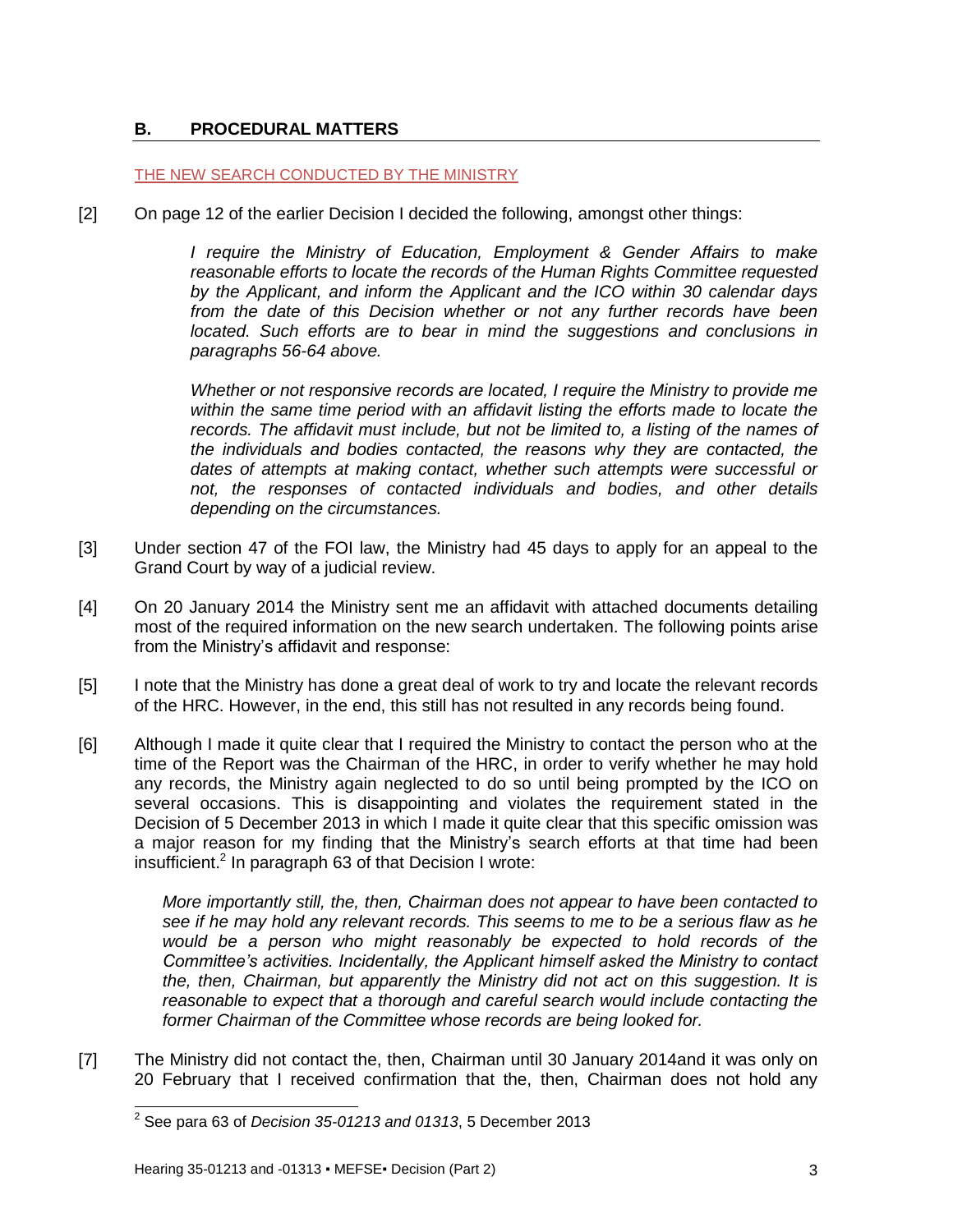## **B. PROCEDURAL MATTERS**

#### THE NEW SEARCH CONDUCTED BY THE MINISTRY

[2] On page 12 of the earlier Decision I decided the following, amongst other things:

*I require the Ministry of Education, Employment & Gender Affairs to make reasonable efforts to locate the records of the Human Rights Committee requested by the Applicant, and inform the Applicant and the ICO within 30 calendar days from the date of this Decision whether or not any further records have been located.* Such efforts are to bear in mind the suggestions and conclusions in *paragraphs 56-64 above.*

*Whether or not responsive records are located, I require the Ministry to provide me within the same time period with an affidavit listing the efforts made to locate the records. The affidavit must include, but not be limited to, a listing of the names of the individuals and bodies contacted, the reasons why they are contacted, the dates of attempts at making contact, whether such attempts were successful or not, the responses of contacted individuals and bodies, and other details depending on the circumstances.*

- [3] Under section 47 of the FOI law, the Ministry had 45 days to apply for an appeal to the Grand Court by way of a judicial review.
- [4] On 20 January 2014 the Ministry sent me an affidavit with attached documents detailing most of the required information on the new search undertaken. The following points arise from the Ministry's affidavit and response:
- [5] I note that the Ministry has done a great deal of work to try and locate the relevant records of the HRC. However, in the end, this still has not resulted in any records being found.
- [6] Although I made it quite clear that I required the Ministry to contact the person who at the time of the Report was the Chairman of the HRC, in order to verify whether he may hold any records, the Ministry again neglected to do so until being prompted by the ICO on several occasions. This is disappointing and violates the requirement stated in the Decision of 5 December 2013 in which I made it quite clear that this specific omission was a major reason for my finding that the Ministry's search efforts at that time had been insufficient. 2 In paragraph 63 of that Decision I wrote:

*More importantly still, the, then, Chairman does not appear to have been contacted to see if he may hold any relevant records. This seems to me to be a serious flaw as he would be a person who might reasonably be expected to hold records of the Committee's activities. Incidentally, the Applicant himself asked the Ministry to contact the, then, Chairman, but apparently the Ministry did not act on this suggestion. It is reasonable to expect that a thorough and careful search would include contacting the former Chairman of the Committee whose records are being looked for.*

[7] The Ministry did not contact the, then, Chairman until 30 January 2014and it was only on 20 February that I received confirmation that the, then, Chairman does not hold any

 2 See para 63 of *Decision 35-01213 and 01313*, 5 December 2013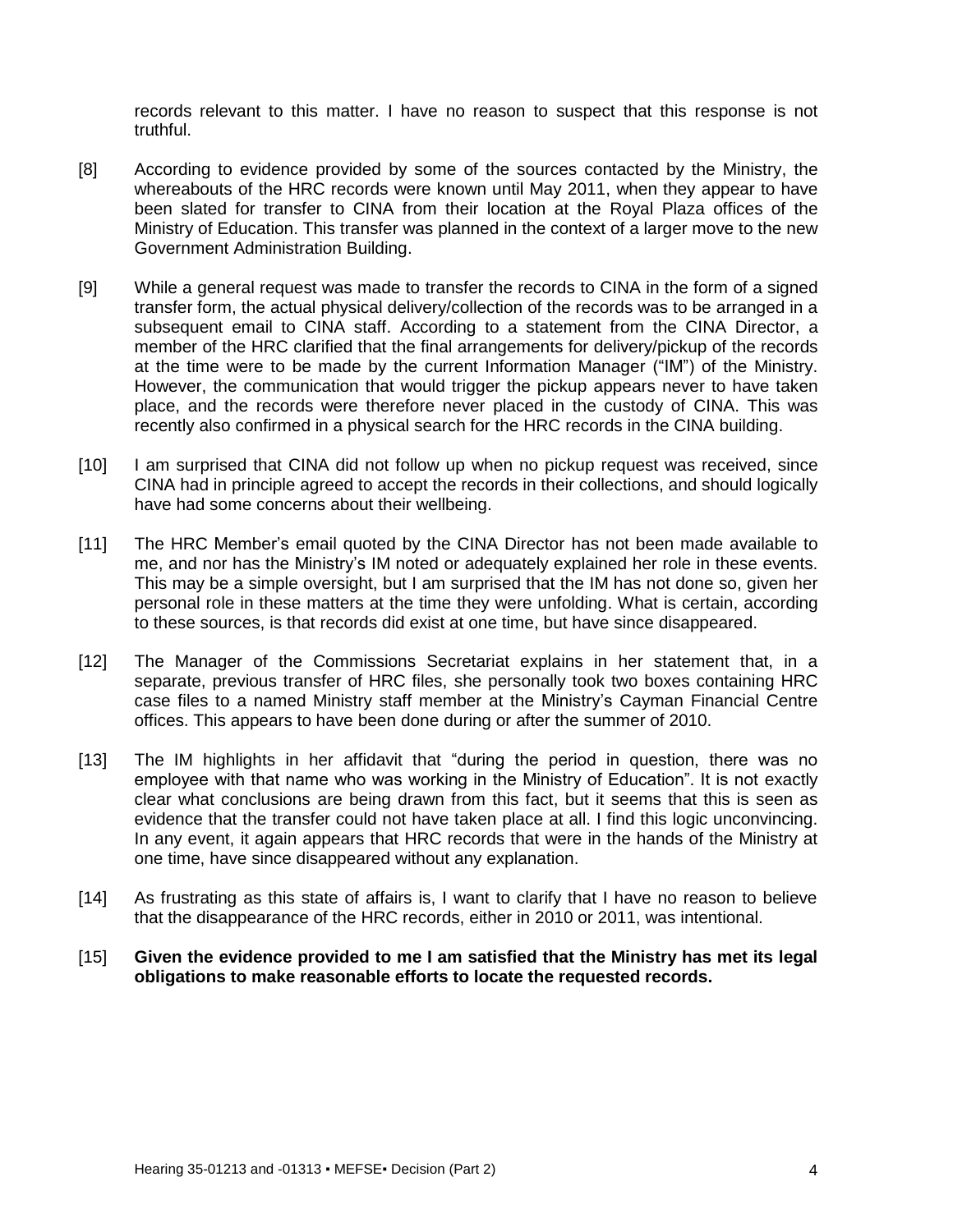records relevant to this matter. I have no reason to suspect that this response is not truthful.

- [8] According to evidence provided by some of the sources contacted by the Ministry, the whereabouts of the HRC records were known until May 2011, when they appear to have been slated for transfer to CINA from their location at the Royal Plaza offices of the Ministry of Education. This transfer was planned in the context of a larger move to the new Government Administration Building.
- [9] While a general request was made to transfer the records to CINA in the form of a signed transfer form, the actual physical delivery/collection of the records was to be arranged in a subsequent email to CINA staff. According to a statement from the CINA Director, a member of the HRC clarified that the final arrangements for delivery/pickup of the records at the time were to be made by the current Information Manager ("IM") of the Ministry. However, the communication that would trigger the pickup appears never to have taken place, and the records were therefore never placed in the custody of CINA. This was recently also confirmed in a physical search for the HRC records in the CINA building.
- [10] I am surprised that CINA did not follow up when no pickup request was received, since CINA had in principle agreed to accept the records in their collections, and should logically have had some concerns about their wellbeing.
- [11] The HRC Member's email quoted by the CINA Director has not been made available to me, and nor has the Ministry's IM noted or adequately explained her role in these events. This may be a simple oversight, but I am surprised that the IM has not done so, given her personal role in these matters at the time they were unfolding. What is certain, according to these sources, is that records did exist at one time, but have since disappeared.
- [12] The Manager of the Commissions Secretariat explains in her statement that, in a separate, previous transfer of HRC files, she personally took two boxes containing HRC case files to a named Ministry staff member at the Ministry's Cayman Financial Centre offices. This appears to have been done during or after the summer of 2010.
- [13] The IM highlights in her affidavit that "during the period in question, there was no employee with that name who was working in the Ministry of Education". It is not exactly clear what conclusions are being drawn from this fact, but it seems that this is seen as evidence that the transfer could not have taken place at all. I find this logic unconvincing. In any event, it again appears that HRC records that were in the hands of the Ministry at one time, have since disappeared without any explanation.
- [14] As frustrating as this state of affairs is, I want to clarify that I have no reason to believe that the disappearance of the HRC records, either in 2010 or 2011, was intentional.
- [15] **Given the evidence provided to me I am satisfied that the Ministry has met its legal obligations to make reasonable efforts to locate the requested records.**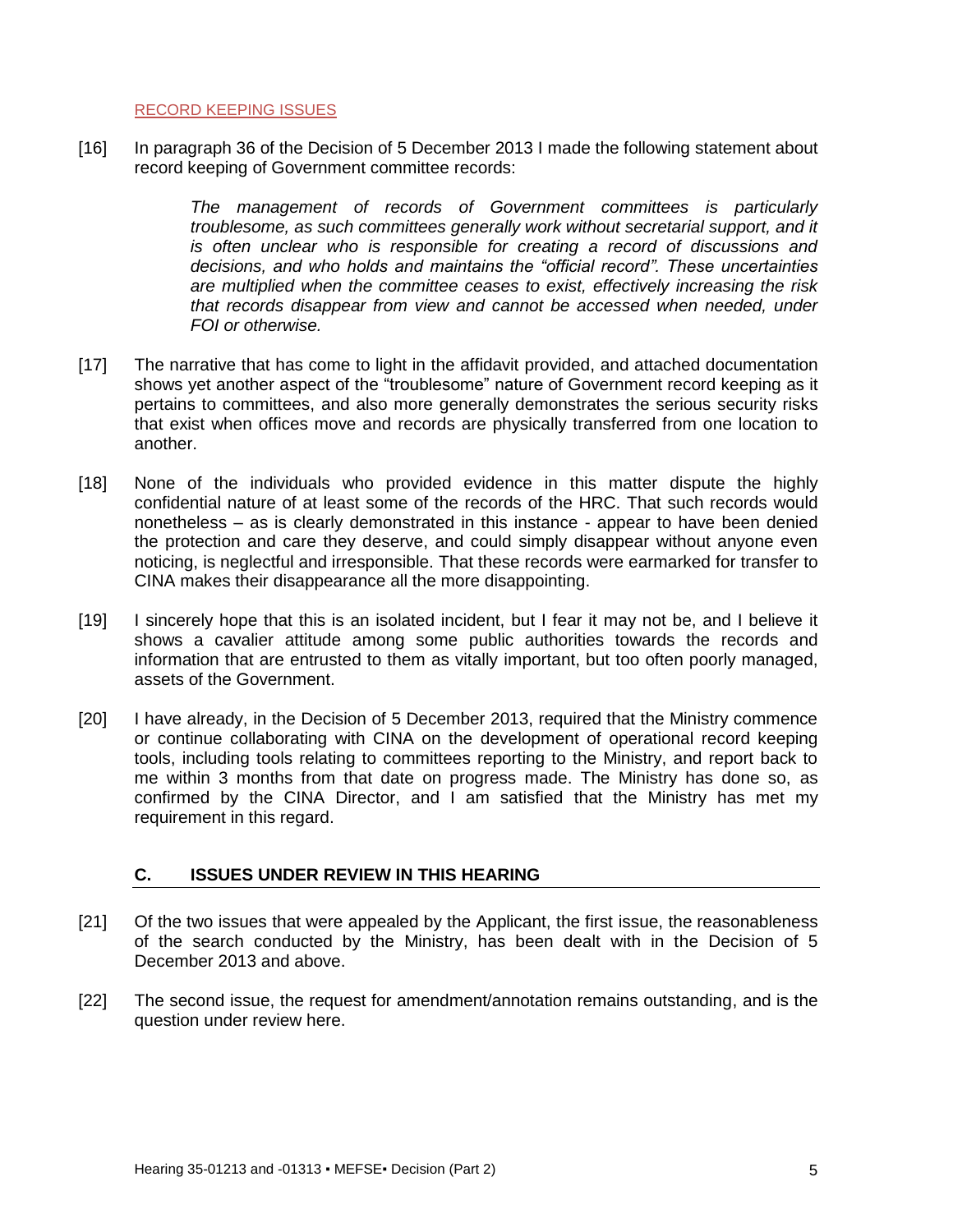RECORD KEEPING ISSUES

[16] In paragraph 36 of the Decision of 5 December 2013 I made the following statement about record keeping of Government committee records:

> *The management of records of Government committees is particularly troublesome, as such committees generally work without secretarial support, and it is often unclear who is responsible for creating a record of discussions and decisions, and who holds and maintains the "official record". These uncertainties are multiplied when the committee ceases to exist, effectively increasing the risk that records disappear from view and cannot be accessed when needed, under FOI or otherwise.*

- [17] The narrative that has come to light in the affidavit provided, and attached documentation shows yet another aspect of the "troublesome" nature of Government record keeping as it pertains to committees, and also more generally demonstrates the serious security risks that exist when offices move and records are physically transferred from one location to another.
- [18] None of the individuals who provided evidence in this matter dispute the highly confidential nature of at least some of the records of the HRC. That such records would nonetheless – as is clearly demonstrated in this instance - appear to have been denied the protection and care they deserve, and could simply disappear without anyone even noticing, is neglectful and irresponsible. That these records were earmarked for transfer to CINA makes their disappearance all the more disappointing.
- [19] I sincerely hope that this is an isolated incident, but I fear it may not be, and I believe it shows a cavalier attitude among some public authorities towards the records and information that are entrusted to them as vitally important, but too often poorly managed, assets of the Government.
- [20] I have already, in the Decision of 5 December 2013, required that the Ministry commence or continue collaborating with CINA on the development of operational record keeping tools, including tools relating to committees reporting to the Ministry, and report back to me within 3 months from that date on progress made. The Ministry has done so, as confirmed by the CINA Director, and I am satisfied that the Ministry has met my requirement in this regard.

## <span id="page-4-0"></span>**C. ISSUES UNDER REVIEW IN THIS HEARING**

- [21] Of the two issues that were appealed by the Applicant, the first issue, the reasonableness of the search conducted by the Ministry, has been dealt with in the Decision of 5 December 2013 and above.
- <span id="page-4-1"></span>[22] The second issue, the request for amendment/annotation remains outstanding, and is the question under review here.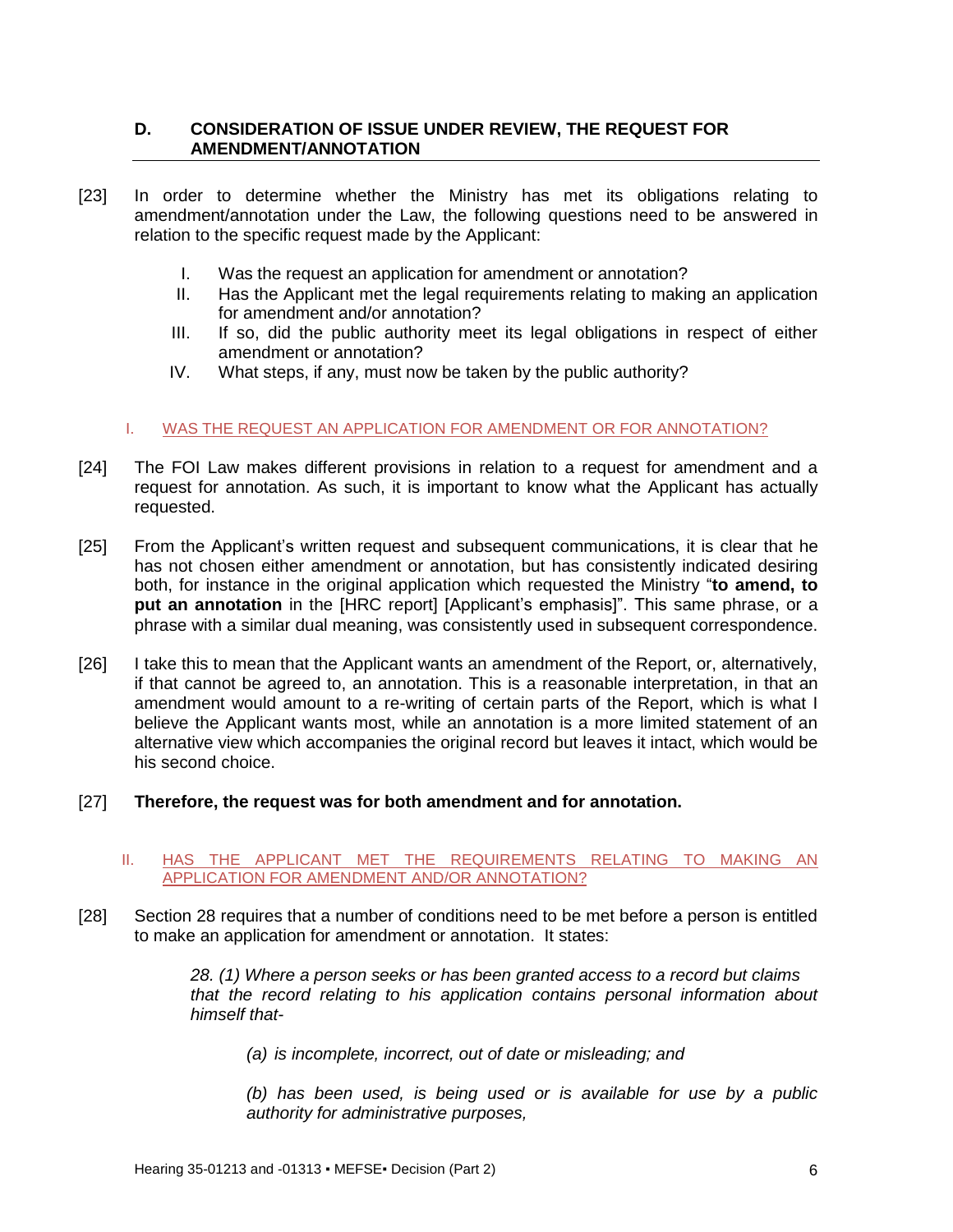## **D. CONSIDERATION OF ISSUE UNDER REVIEW, THE REQUEST FOR AMENDMENT/ANNOTATION**

- [23] In order to determine whether the Ministry has met its obligations relating to amendment/annotation under the Law, the following questions need to be answered in relation to the specific request made by the Applicant:
	- I. Was the request an application for amendment or annotation?
	- II. Has the Applicant met the legal requirements relating to making an application for amendment and/or annotation?
	- III. If so, did the public authority meet its legal obligations in respect of either amendment or annotation?
	- IV. What steps, if any, must now be taken by the public authority?

### I. WAS THE REQUEST AN APPLICATION FOR AMENDMENT OR FOR ANNOTATION?

- [24] The FOI Law makes different provisions in relation to a request for amendment and a request for annotation. As such, it is important to know what the Applicant has actually requested.
- [25] From the Applicant's written request and subsequent communications, it is clear that he has not chosen either amendment or annotation, but has consistently indicated desiring both, for instance in the original application which requested the Ministry "**to amend, to put an annotation** in the [HRC report] [Applicant's emphasis]". This same phrase, or a phrase with a similar dual meaning, was consistently used in subsequent correspondence.
- [26] I take this to mean that the Applicant wants an amendment of the Report, or, alternatively, if that cannot be agreed to, an annotation. This is a reasonable interpretation, in that an amendment would amount to a re-writing of certain parts of the Report, which is what I believe the Applicant wants most, while an annotation is a more limited statement of an alternative view which accompanies the original record but leaves it intact, which would be his second choice.
- [27] **Therefore, the request was for both amendment and for annotation.**

#### II. HAS THE APPLICANT MET THE REQUIREMENTS RELATING TO MAKING AN APPLICATION FOR AMENDMENT AND/OR ANNOTATION?

[28] Section 28 requires that a number of conditions need to be met before a person is entitled to make an application for amendment or annotation. It states:

> *28. (1) Where a person seeks or has been granted access to a record but claims that the record relating to his application contains personal information about himself that-*

*(a) is incomplete, incorrect, out of date or misleading; and*

*(b) has been used, is being used or is available for use by a public authority for administrative purposes,*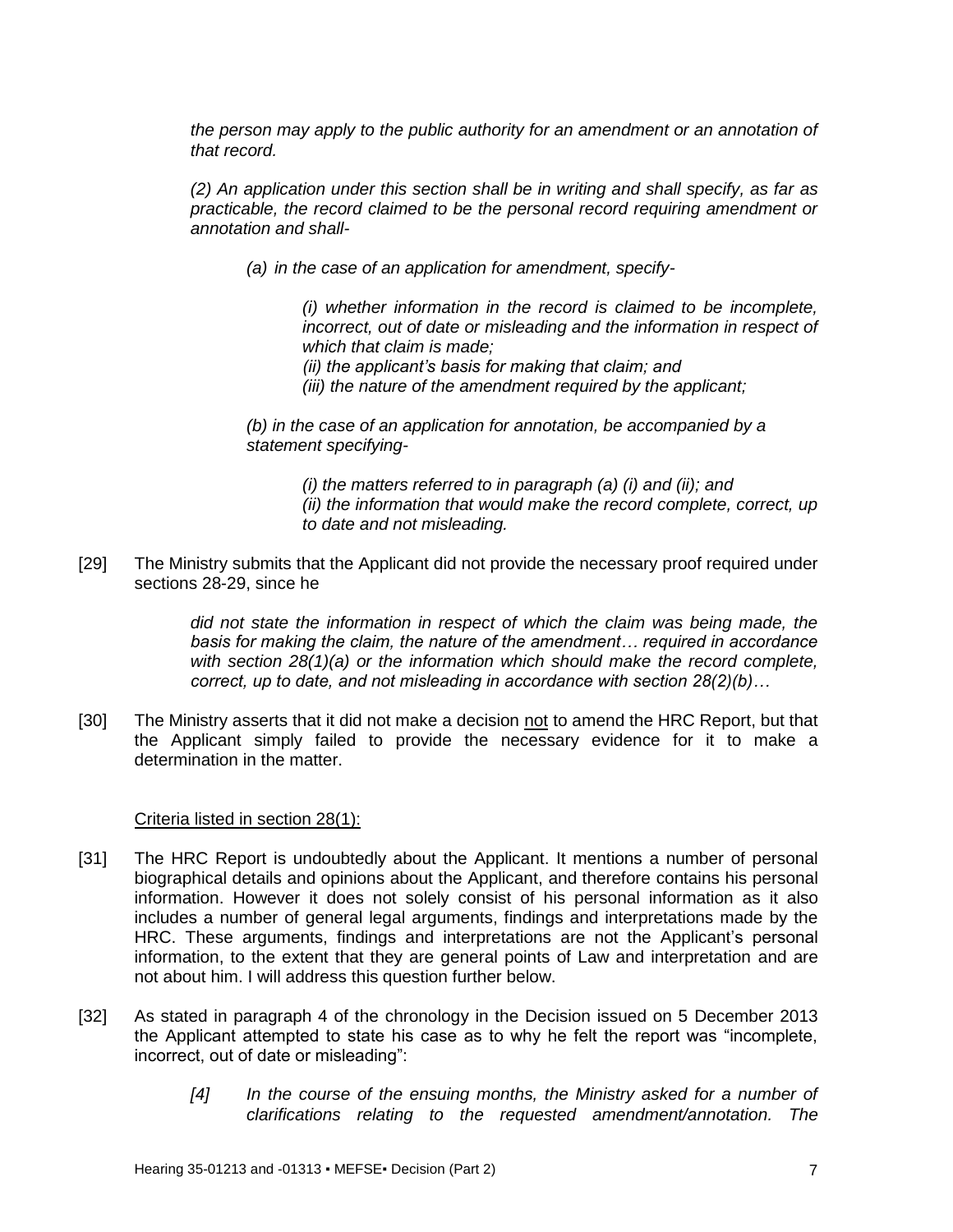*the person may apply to the public authority for an amendment or an annotation of that record.*

*(2) An application under this section shall be in writing and shall specify, as far as practicable, the record claimed to be the personal record requiring amendment or annotation and shall-*

*(a) in the case of an application for amendment, specify-*

*(i) whether information in the record is claimed to be incomplete, incorrect, out of date or misleading and the information in respect of which that claim is made;*

*(ii) the applicant's basis for making that claim; and*

*(iii) the nature of the amendment required by the applicant;*

*(b) in the case of an application for annotation, be accompanied by a statement specifying-*

> *(i) the matters referred to in paragraph (a) (i) and (ii); and (ii) the information that would make the record complete, correct, up to date and not misleading.*

[29] The Ministry submits that the Applicant did not provide the necessary proof required under sections 28-29, since he

> *did not state the information in respect of which the claim was being made, the basis for making the claim, the nature of the amendment… required in accordance with section 28(1)(a) or the information which should make the record complete, correct, up to date, and not misleading in accordance with section 28(2)(b)…*

[30] The Ministry asserts that it did not make a decision not to amend the HRC Report, but that the Applicant simply failed to provide the necessary evidence for it to make a determination in the matter.

#### Criteria listed in section 28(1):

- [31] The HRC Report is undoubtedly about the Applicant. It mentions a number of personal biographical details and opinions about the Applicant, and therefore contains his personal information. However it does not solely consist of his personal information as it also includes a number of general legal arguments, findings and interpretations made by the HRC. These arguments, findings and interpretations are not the Applicant's personal information, to the extent that they are general points of Law and interpretation and are not about him. I will address this question further below.
- [32] As stated in paragraph 4 of the chronology in the Decision issued on 5 December 2013 the Applicant attempted to state his case as to why he felt the report was "incomplete, incorrect, out of date or misleading":
	- *[4] In the course of the ensuing months, the Ministry asked for a number of clarifications relating to the requested amendment/annotation. The*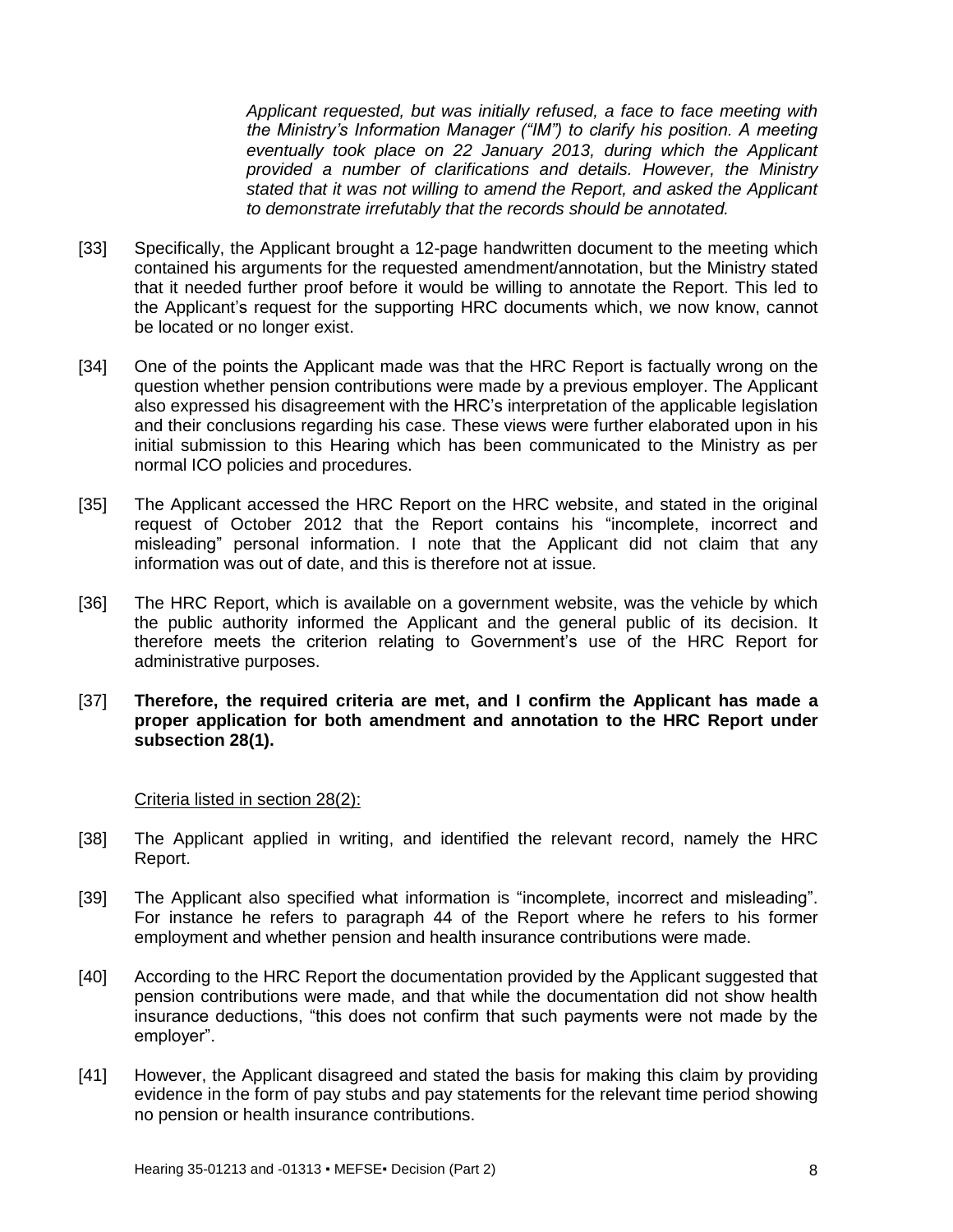*Applicant requested, but was initially refused, a face to face meeting with the Ministry's Information Manager ("IM") to clarify his position. A meeting eventually took place on 22 January 2013, during which the Applicant provided a number of clarifications and details. However, the Ministry stated that it was not willing to amend the Report, and asked the Applicant to demonstrate irrefutably that the records should be annotated.*

- [33] Specifically, the Applicant brought a 12-page handwritten document to the meeting which contained his arguments for the requested amendment/annotation, but the Ministry stated that it needed further proof before it would be willing to annotate the Report. This led to the Applicant's request for the supporting HRC documents which, we now know, cannot be located or no longer exist.
- [34] One of the points the Applicant made was that the HRC Report is factually wrong on the question whether pension contributions were made by a previous employer. The Applicant also expressed his disagreement with the HRC's interpretation of the applicable legislation and their conclusions regarding his case. These views were further elaborated upon in his initial submission to this Hearing which has been communicated to the Ministry as per normal ICO policies and procedures.
- [35] The Applicant accessed the HRC Report on the HRC website, and stated in the original request of October 2012 that the Report contains his "incomplete, incorrect and misleading" personal information. I note that the Applicant did not claim that any information was out of date, and this is therefore not at issue.
- [36] The HRC Report, which is available on a government website, was the vehicle by which the public authority informed the Applicant and the general public of its decision. It therefore meets the criterion relating to Government's use of the HRC Report for administrative purposes.
- [37] **Therefore, the required criteria are met, and I confirm the Applicant has made a proper application for both amendment and annotation to the HRC Report under subsection 28(1).**

#### Criteria listed in section 28(2):

- [38] The Applicant applied in writing, and identified the relevant record, namely the HRC Report.
- [39] The Applicant also specified what information is "incomplete, incorrect and misleading". For instance he refers to paragraph 44 of the Report where he refers to his former employment and whether pension and health insurance contributions were made.
- [40] According to the HRC Report the documentation provided by the Applicant suggested that pension contributions were made, and that while the documentation did not show health insurance deductions, "this does not confirm that such payments were not made by the employer".
- [41] However, the Applicant disagreed and stated the basis for making this claim by providing evidence in the form of pay stubs and pay statements for the relevant time period showing no pension or health insurance contributions.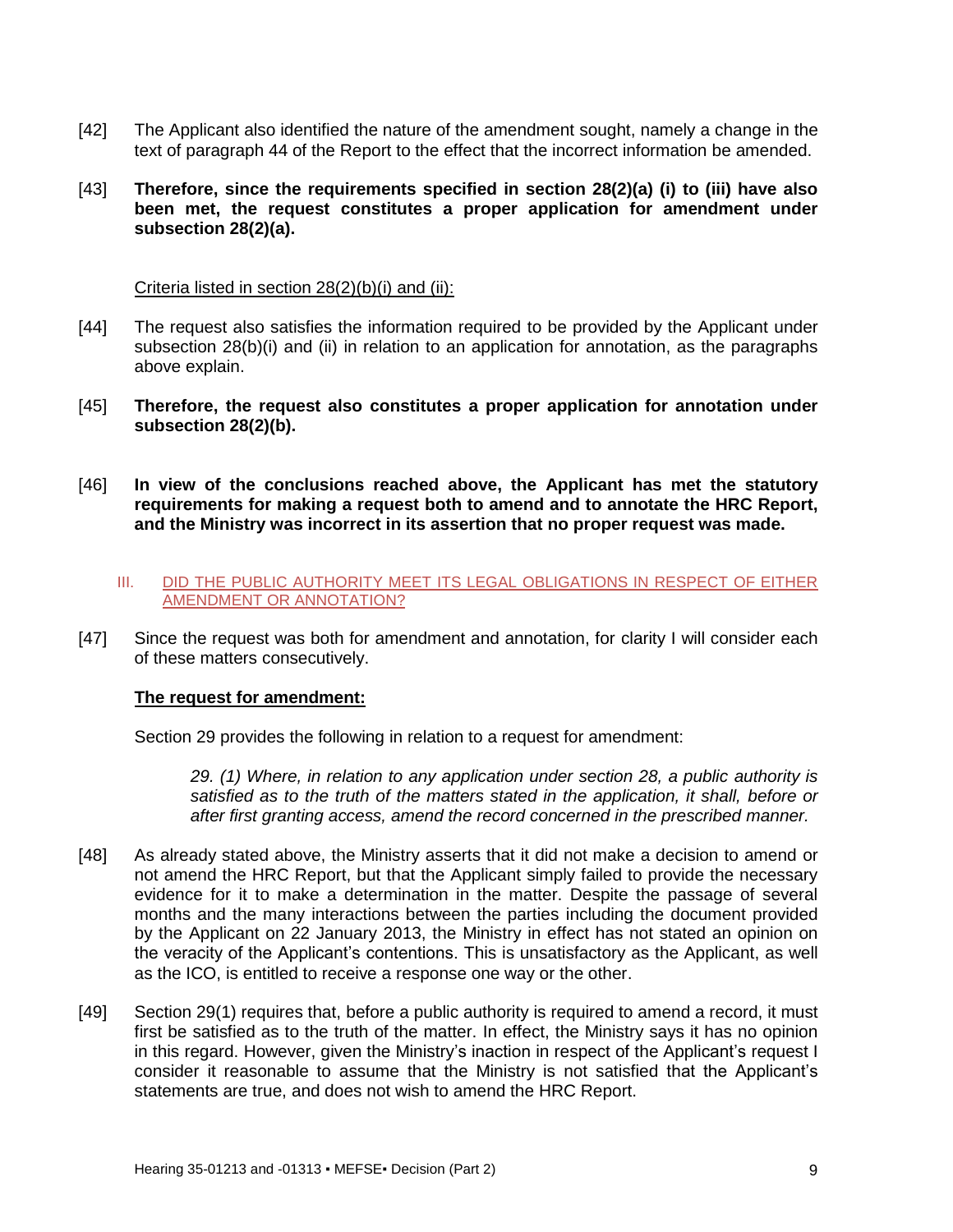- [42] The Applicant also identified the nature of the amendment sought, namely a change in the text of paragraph 44 of the Report to the effect that the incorrect information be amended.
- [43] **Therefore, since the requirements specified in section 28(2)(a) (i) to (iii) have also been met, the request constitutes a proper application for amendment under subsection 28(2)(a).**

#### Criteria listed in section 28(2)(b)(i) and (ii):

- [44] The request also satisfies the information required to be provided by the Applicant under subsection 28(b)(i) and (ii) in relation to an application for annotation, as the paragraphs above explain.
- [45] **Therefore, the request also constitutes a proper application for annotation under subsection 28(2)(b).**
- [46] **In view of the conclusions reached above, the Applicant has met the statutory requirements for making a request both to amend and to annotate the HRC Report, and the Ministry was incorrect in its assertion that no proper request was made.**

#### III. DID THE PUBLIC AUTHORITY MEET ITS LEGAL OBLIGATIONS IN RESPECT OF EITHER AMENDMENT OR ANNOTATION?

[47] Since the request was both for amendment and annotation, for clarity I will consider each of these matters consecutively.

#### **The request for amendment:**

Section 29 provides the following in relation to a request for amendment:

*29. (1) Where, in relation to any application under section 28, a public authority is satisfied as to the truth of the matters stated in the application, it shall, before or after first granting access, amend the record concerned in the prescribed manner.*

- [48] As already stated above, the Ministry asserts that it did not make a decision to amend or not amend the HRC Report, but that the Applicant simply failed to provide the necessary evidence for it to make a determination in the matter. Despite the passage of several months and the many interactions between the parties including the document provided by the Applicant on 22 January 2013, the Ministry in effect has not stated an opinion on the veracity of the Applicant's contentions. This is unsatisfactory as the Applicant, as well as the ICO, is entitled to receive a response one way or the other.
- [49] Section 29(1) requires that, before a public authority is required to amend a record, it must first be satisfied as to the truth of the matter. In effect, the Ministry says it has no opinion in this regard. However, given the Ministry's inaction in respect of the Applicant's request I consider it reasonable to assume that the Ministry is not satisfied that the Applicant's statements are true, and does not wish to amend the HRC Report.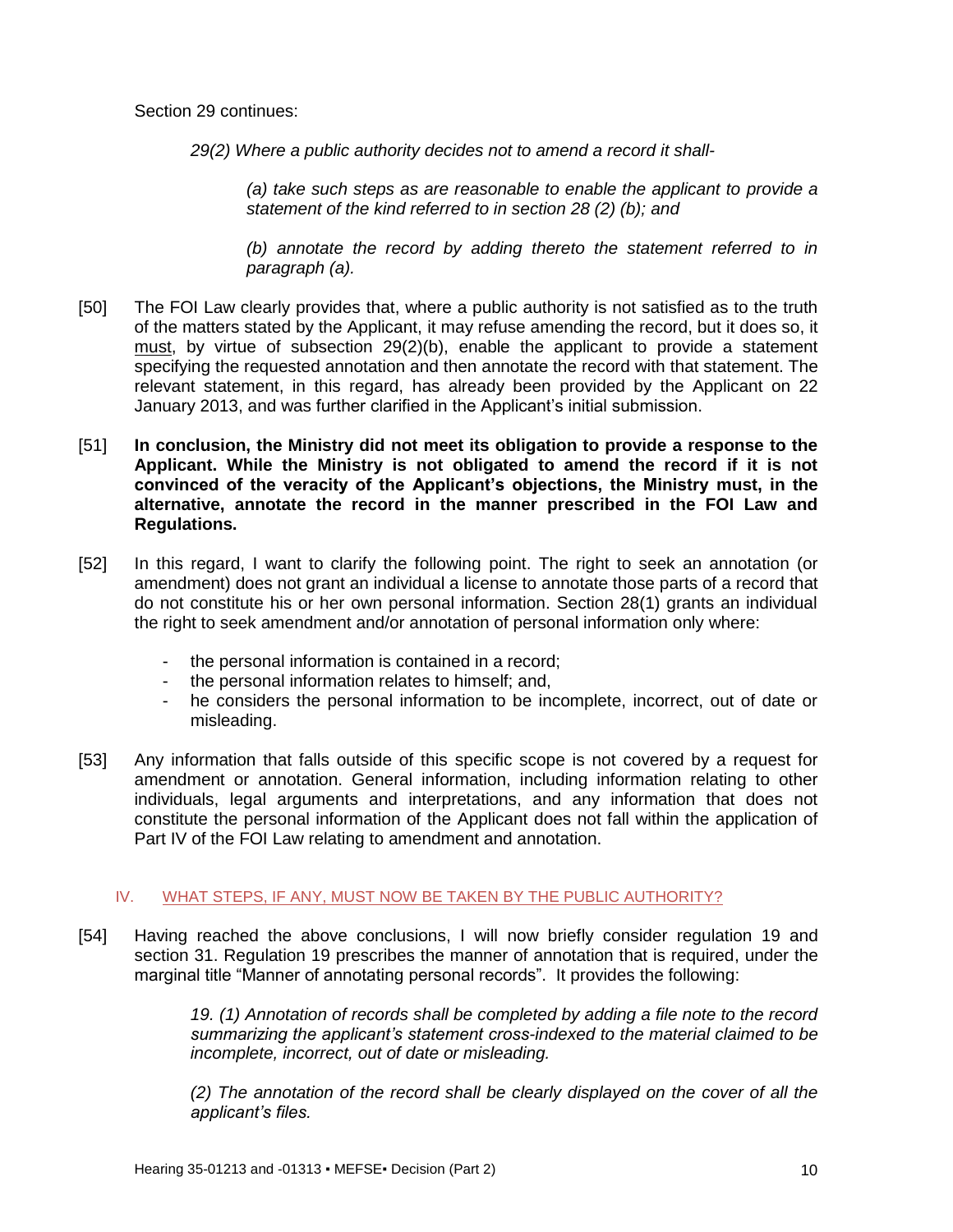Section 29 continues:

*29(2) Where a public authority decides not to amend a record it shall-*

*(a) take such steps as are reasonable to enable the applicant to provide a statement of the kind referred to in section 28 (2) (b); and*

*(b) annotate the record by adding thereto the statement referred to in paragraph (a).*

- [50] The FOI Law clearly provides that, where a public authority is not satisfied as to the truth of the matters stated by the Applicant, it may refuse amending the record, but it does so, it must, by virtue of subsection 29(2)(b), enable the applicant to provide a statement specifying the requested annotation and then annotate the record with that statement. The relevant statement, in this regard, has already been provided by the Applicant on 22 January 2013, and was further clarified in the Applicant's initial submission.
- [51] **In conclusion, the Ministry did not meet its obligation to provide a response to the Applicant. While the Ministry is not obligated to amend the record if it is not convinced of the veracity of the Applicant's objections, the Ministry must, in the alternative, annotate the record in the manner prescribed in the FOI Law and Regulations.**
- [52] In this regard, I want to clarify the following point. The right to seek an annotation (or amendment) does not grant an individual a license to annotate those parts of a record that do not constitute his or her own personal information. Section 28(1) grants an individual the right to seek amendment and/or annotation of personal information only where:
	- the personal information is contained in a record:
	- the personal information relates to himself: and,
	- he considers the personal information to be incomplete, incorrect, out of date or misleading.
- [53] Any information that falls outside of this specific scope is not covered by a request for amendment or annotation. General information, including information relating to other individuals, legal arguments and interpretations, and any information that does not constitute the personal information of the Applicant does not fall within the application of Part IV of the FOI Law relating to amendment and annotation.

#### IV. WHAT STEPS, IF ANY, MUST NOW BE TAKEN BY THE PUBLIC AUTHORITY?

[54] Having reached the above conclusions, I will now briefly consider regulation 19 and section 31. Regulation 19 prescribes the manner of annotation that is required, under the marginal title "Manner of annotating personal records". It provides the following:

> *19. (1) Annotation of records shall be completed by adding a file note to the record summarizing the applicant's statement cross-indexed to the material claimed to be incomplete, incorrect, out of date or misleading.*

> *(2) The annotation of the record shall be clearly displayed on the cover of all the applicant's files.*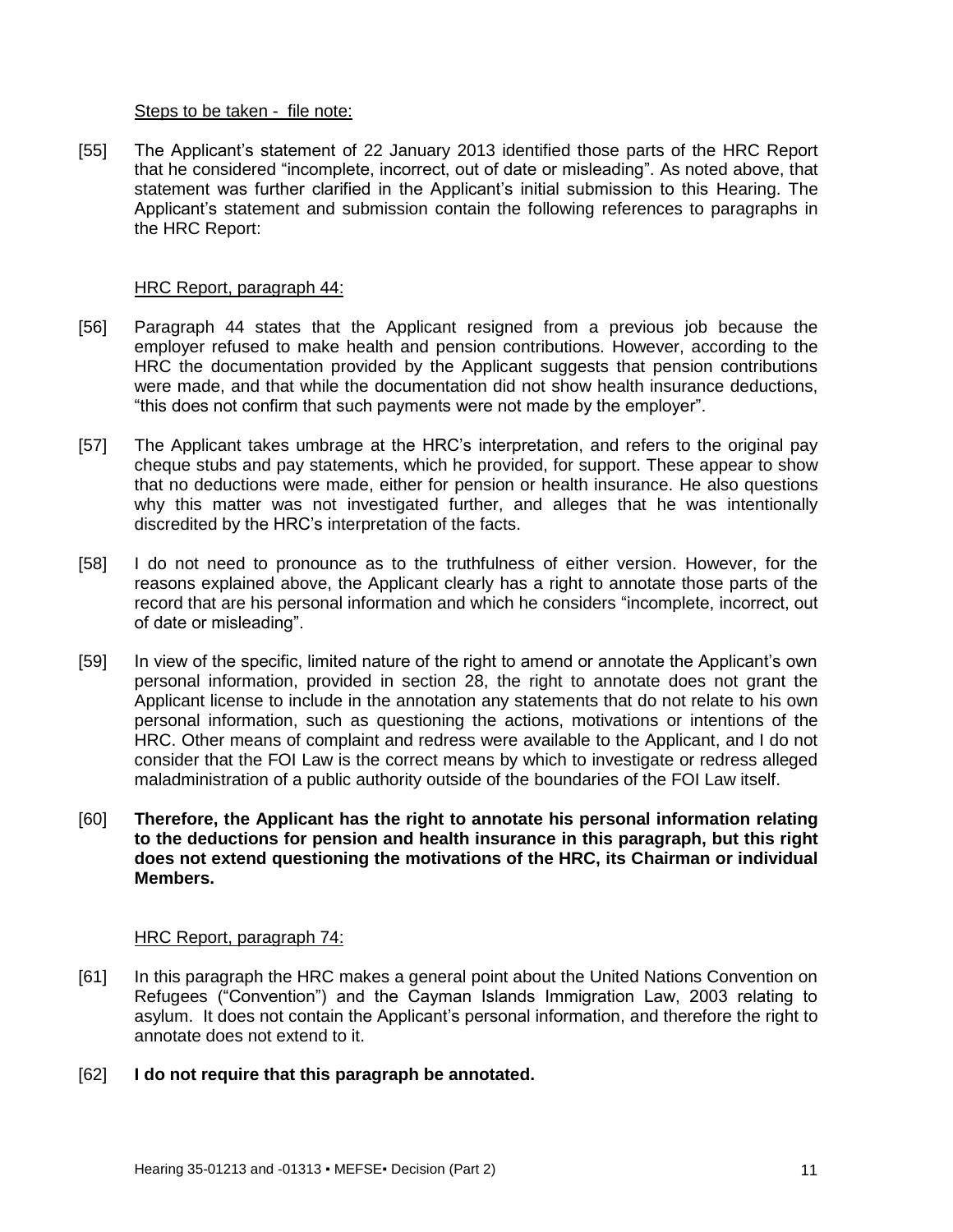#### Steps to be taken - file note:

[55] The Applicant's statement of 22 January 2013 identified those parts of the HRC Report that he considered "incomplete, incorrect, out of date or misleading". As noted above, that statement was further clarified in the Applicant's initial submission to this Hearing. The Applicant's statement and submission contain the following references to paragraphs in the HRC Report:

### HRC Report, paragraph 44:

- [56] Paragraph 44 states that the Applicant resigned from a previous job because the employer refused to make health and pension contributions. However, according to the HRC the documentation provided by the Applicant suggests that pension contributions were made, and that while the documentation did not show health insurance deductions, "this does not confirm that such payments were not made by the employer".
- [57] The Applicant takes umbrage at the HRC's interpretation, and refers to the original pay cheque stubs and pay statements, which he provided, for support. These appear to show that no deductions were made, either for pension or health insurance. He also questions why this matter was not investigated further, and alleges that he was intentionally discredited by the HRC's interpretation of the facts.
- [58] I do not need to pronounce as to the truthfulness of either version. However, for the reasons explained above, the Applicant clearly has a right to annotate those parts of the record that are his personal information and which he considers "incomplete, incorrect, out of date or misleading".
- [59] In view of the specific, limited nature of the right to amend or annotate the Applicant's own personal information, provided in section 28, the right to annotate does not grant the Applicant license to include in the annotation any statements that do not relate to his own personal information, such as questioning the actions, motivations or intentions of the HRC. Other means of complaint and redress were available to the Applicant, and I do not consider that the FOI Law is the correct means by which to investigate or redress alleged maladministration of a public authority outside of the boundaries of the FOI Law itself.
- [60] **Therefore, the Applicant has the right to annotate his personal information relating to the deductions for pension and health insurance in this paragraph, but this right does not extend questioning the motivations of the HRC, its Chairman or individual Members.**

## HRC Report, paragraph 74:

- [61] In this paragraph the HRC makes a general point about the United Nations Convention on Refugees ("Convention") and the Cayman Islands Immigration Law, 2003 relating to asylum. It does not contain the Applicant's personal information, and therefore the right to annotate does not extend to it.
- [62] **I do not require that this paragraph be annotated.**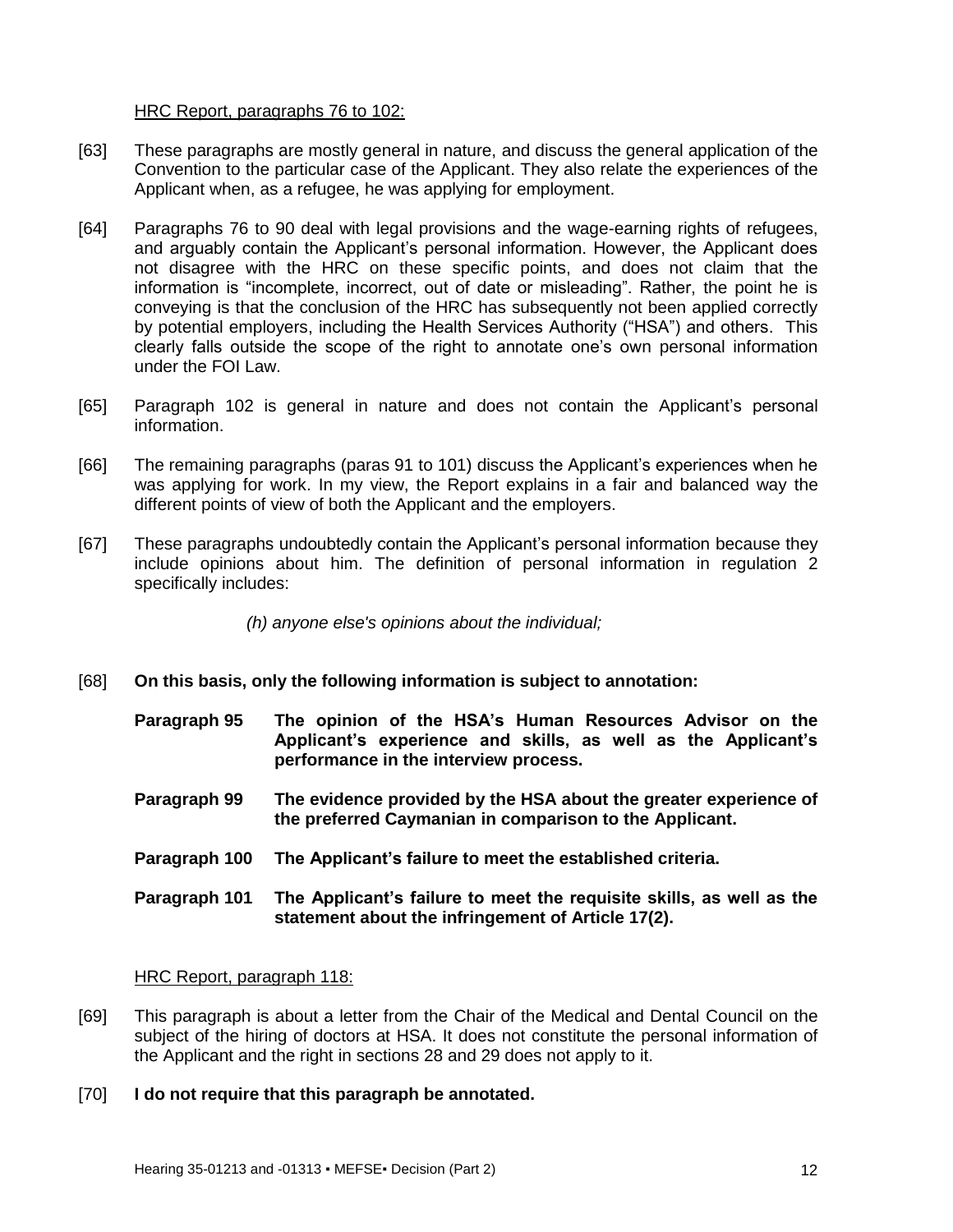### HRC Report, paragraphs 76 to 102:

- [63] These paragraphs are mostly general in nature, and discuss the general application of the Convention to the particular case of the Applicant. They also relate the experiences of the Applicant when, as a refugee, he was applying for employment.
- [64] Paragraphs 76 to 90 deal with legal provisions and the wage-earning rights of refugees, and arguably contain the Applicant's personal information. However, the Applicant does not disagree with the HRC on these specific points, and does not claim that the information is "incomplete, incorrect, out of date or misleading". Rather, the point he is conveying is that the conclusion of the HRC has subsequently not been applied correctly by potential employers, including the Health Services Authority ("HSA") and others. This clearly falls outside the scope of the right to annotate one's own personal information under the FOI Law.
- [65] Paragraph 102 is general in nature and does not contain the Applicant's personal information.
- [66] The remaining paragraphs (paras 91 to 101) discuss the Applicant's experiences when he was applying for work. In my view, the Report explains in a fair and balanced way the different points of view of both the Applicant and the employers.
- [67] These paragraphs undoubtedly contain the Applicant's personal information because they include opinions about him. The definition of personal information in regulation 2 specifically includes:

*(h) anyone else's opinions about the individual;*

- [68] **On this basis, only the following information is subject to annotation:**
	- **Paragraph 95 The opinion of the HSA's Human Resources Advisor on the Applicant's experience and skills, as well as the Applicant's performance in the interview process.**
	- **Paragraph 99 The evidence provided by the HSA about the greater experience of the preferred Caymanian in comparison to the Applicant.**
	- **Paragraph 100 The Applicant's failure to meet the established criteria.**
	- **Paragraph 101 The Applicant's failure to meet the requisite skills, as well as the statement about the infringement of Article 17(2).**

HRC Report, paragraph 118:

- [69] This paragraph is about a letter from the Chair of the Medical and Dental Council on the subject of the hiring of doctors at HSA. It does not constitute the personal information of the Applicant and the right in sections 28 and 29 does not apply to it.
- [70] **I do not require that this paragraph be annotated.**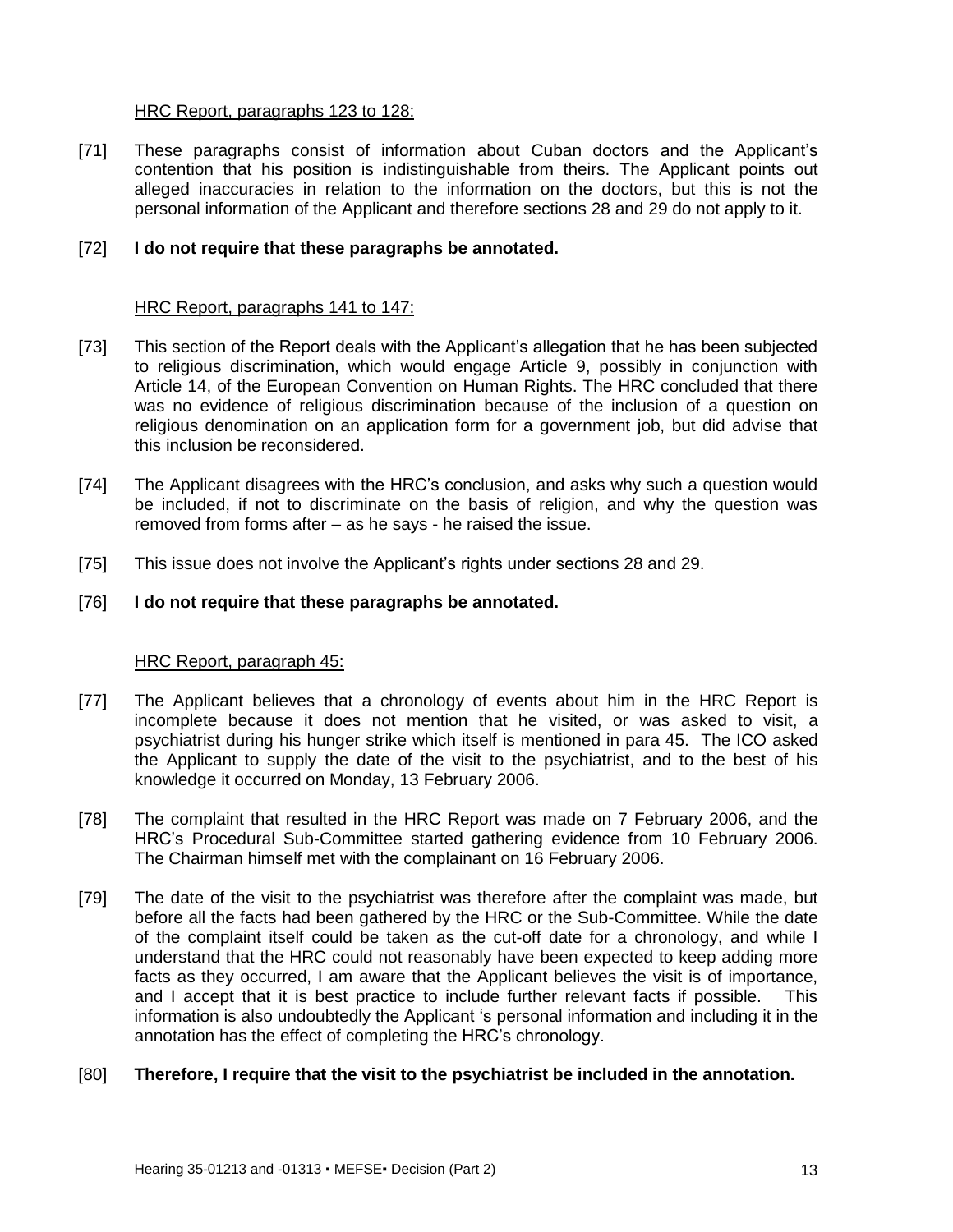### HRC Report, paragraphs 123 to 128:

[71] These paragraphs consist of information about Cuban doctors and the Applicant's contention that his position is indistinguishable from theirs. The Applicant points out alleged inaccuracies in relation to the information on the doctors, but this is not the personal information of the Applicant and therefore sections 28 and 29 do not apply to it.

### [72] **I do not require that these paragraphs be annotated.**

### HRC Report, paragraphs 141 to 147:

- [73] This section of the Report deals with the Applicant's allegation that he has been subjected to religious discrimination, which would engage Article 9, possibly in conjunction with Article 14, of the European Convention on Human Rights. The HRC concluded that there was no evidence of religious discrimination because of the inclusion of a question on religious denomination on an application form for a government job, but did advise that this inclusion be reconsidered.
- [74] The Applicant disagrees with the HRC's conclusion, and asks why such a question would be included, if not to discriminate on the basis of religion, and why the question was removed from forms after – as he says - he raised the issue.
- [75] This issue does not involve the Applicant's rights under sections 28 and 29.

### [76] **I do not require that these paragraphs be annotated.**

#### HRC Report, paragraph 45:

- [77] The Applicant believes that a chronology of events about him in the HRC Report is incomplete because it does not mention that he visited, or was asked to visit, a psychiatrist during his hunger strike which itself is mentioned in para 45. The ICO asked the Applicant to supply the date of the visit to the psychiatrist, and to the best of his knowledge it occurred on Monday, 13 February 2006.
- [78] The complaint that resulted in the HRC Report was made on 7 February 2006, and the HRC's Procedural Sub-Committee started gathering evidence from 10 February 2006. The Chairman himself met with the complainant on 16 February 2006.
- [79] The date of the visit to the psychiatrist was therefore after the complaint was made, but before all the facts had been gathered by the HRC or the Sub-Committee. While the date of the complaint itself could be taken as the cut-off date for a chronology, and while I understand that the HRC could not reasonably have been expected to keep adding more facts as they occurred, I am aware that the Applicant believes the visit is of importance, and I accept that it is best practice to include further relevant facts if possible. This information is also undoubtedly the Applicant 's personal information and including it in the annotation has the effect of completing the HRC's chronology.

#### [80] **Therefore, I require that the visit to the psychiatrist be included in the annotation.**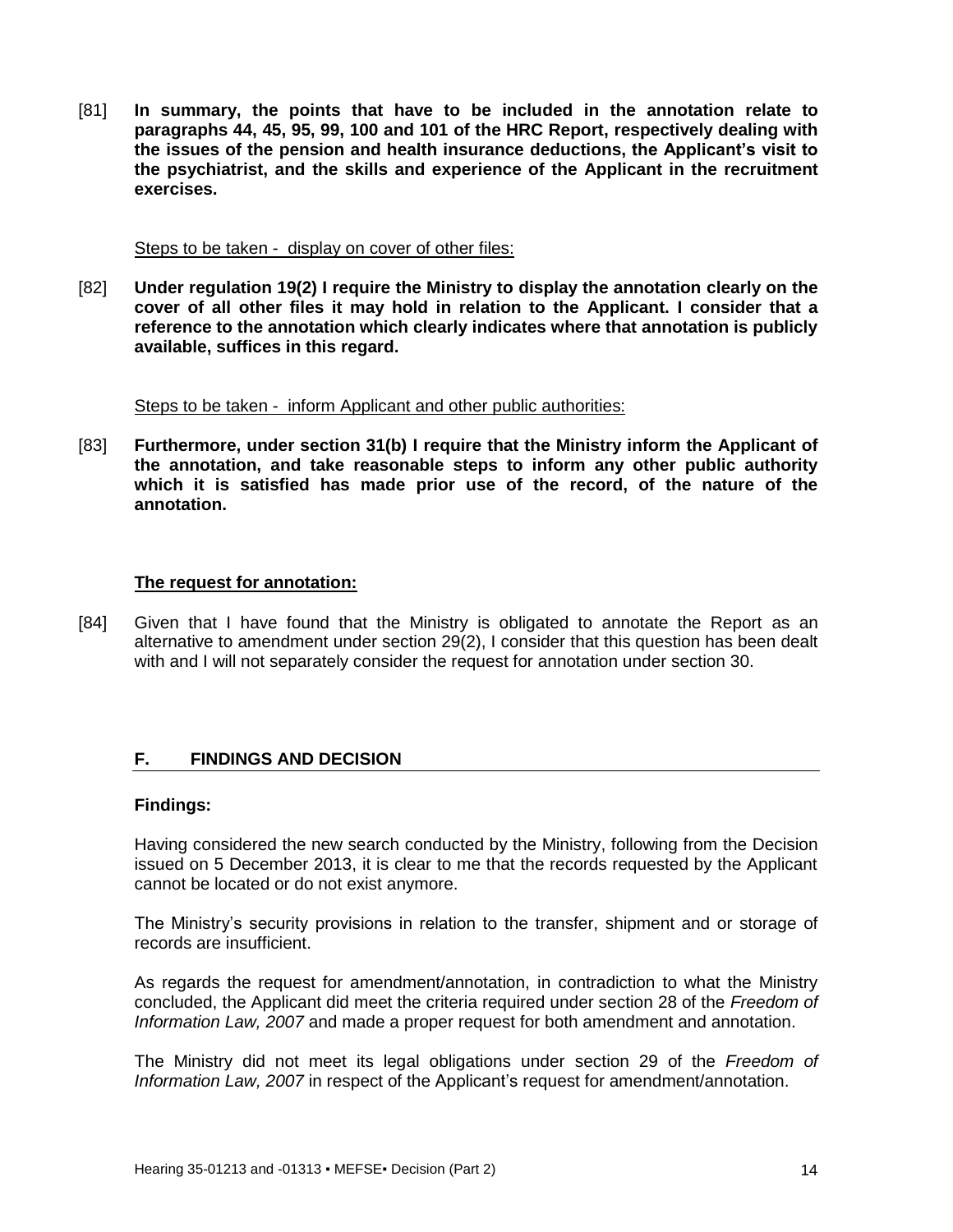[81] **In summary, the points that have to be included in the annotation relate to paragraphs 44, 45, 95, 99, 100 and 101 of the HRC Report, respectively dealing with the issues of the pension and health insurance deductions, the Applicant's visit to the psychiatrist, and the skills and experience of the Applicant in the recruitment exercises.**

#### Steps to be taken - display on cover of other files:

[82] **Under regulation 19(2) I require the Ministry to display the annotation clearly on the cover of all other files it may hold in relation to the Applicant. I consider that a reference to the annotation which clearly indicates where that annotation is publicly available, suffices in this regard.**

Steps to be taken - inform Applicant and other public authorities:

[83] **Furthermore, under section 31(b) I require that the Ministry inform the Applicant of the annotation, and take reasonable steps to inform any other public authority which it is satisfied has made prior use of the record, of the nature of the annotation.**

#### **The request for annotation:**

[84] Given that I have found that the Ministry is obligated to annotate the Report as an alternative to amendment under section 29(2), I consider that this question has been dealt with and I will not separately consider the request for annotation under section 30.

## <span id="page-13-0"></span>**F. FINDINGS AND DECISION**

#### **Findings:**

Having considered the new search conducted by the Ministry, following from the Decision issued on 5 December 2013, it is clear to me that the records requested by the Applicant cannot be located or do not exist anymore.

The Ministry's security provisions in relation to the transfer, shipment and or storage of records are insufficient.

As regards the request for amendment/annotation, in contradiction to what the Ministry concluded, the Applicant did meet the criteria required under section 28 of the *Freedom of Information Law, 2007* and made a proper request for both amendment and annotation.

The Ministry did not meet its legal obligations under section 29 of the *Freedom of Information Law, 2007* in respect of the Applicant's request for amendment/annotation.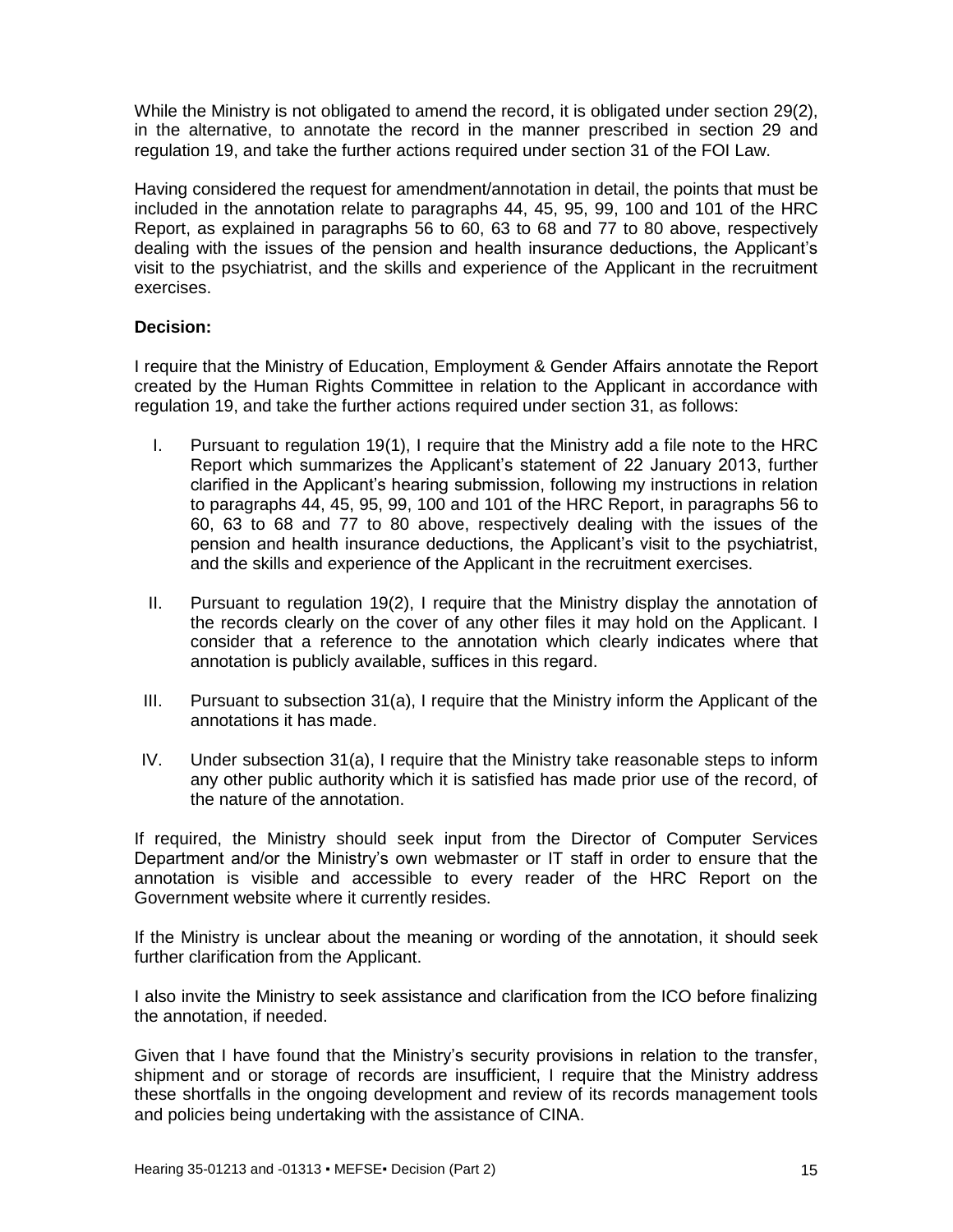While the Ministry is not obligated to amend the record, it is obligated under section 29(2), in the alternative, to annotate the record in the manner prescribed in section 29 and regulation 19, and take the further actions required under section 31 of the FOI Law.

Having considered the request for amendment/annotation in detail, the points that must be included in the annotation relate to paragraphs 44, 45, 95, 99, 100 and 101 of the HRC Report, as explained in paragraphs 56 to 60, 63 to 68 and 77 to 80 above, respectively dealing with the issues of the pension and health insurance deductions, the Applicant's visit to the psychiatrist, and the skills and experience of the Applicant in the recruitment exercises.

## **Decision:**

I require that the Ministry of Education, Employment & Gender Affairs annotate the Report created by the Human Rights Committee in relation to the Applicant in accordance with regulation 19, and take the further actions required under section 31, as follows:

- I. Pursuant to regulation 19(1), I require that the Ministry add a file note to the HRC Report which summarizes the Applicant's statement of 22 January 2013, further clarified in the Applicant's hearing submission, following my instructions in relation to paragraphs 44, 45, 95, 99, 100 and 101 of the HRC Report, in paragraphs 56 to 60, 63 to 68 and 77 to 80 above, respectively dealing with the issues of the pension and health insurance deductions, the Applicant's visit to the psychiatrist, and the skills and experience of the Applicant in the recruitment exercises.
- II. Pursuant to regulation 19(2), I require that the Ministry display the annotation of the records clearly on the cover of any other files it may hold on the Applicant. I consider that a reference to the annotation which clearly indicates where that annotation is publicly available, suffices in this regard.
- III. Pursuant to subsection 31(a), I require that the Ministry inform the Applicant of the annotations it has made.
- IV. Under subsection 31(a), I require that the Ministry take reasonable steps to inform any other public authority which it is satisfied has made prior use of the record, of the nature of the annotation.

If required, the Ministry should seek input from the Director of Computer Services Department and/or the Ministry's own webmaster or IT staff in order to ensure that the annotation is visible and accessible to every reader of the HRC Report on the Government website where it currently resides.

If the Ministry is unclear about the meaning or wording of the annotation, it should seek further clarification from the Applicant.

I also invite the Ministry to seek assistance and clarification from the ICO before finalizing the annotation, if needed.

Given that I have found that the Ministry's security provisions in relation to the transfer, shipment and or storage of records are insufficient, I require that the Ministry address these shortfalls in the ongoing development and review of its records management tools and policies being undertaking with the assistance of CINA.